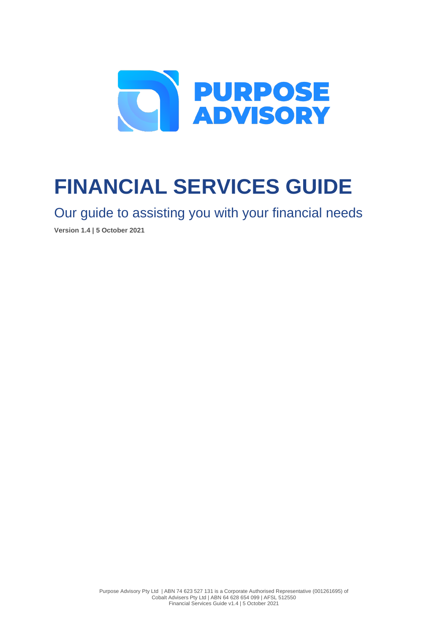

# **FINANCIAL SERVICES GUIDE**

Our guide to assisting you with your financial needs

**Version 1.4 | 5 October 2021**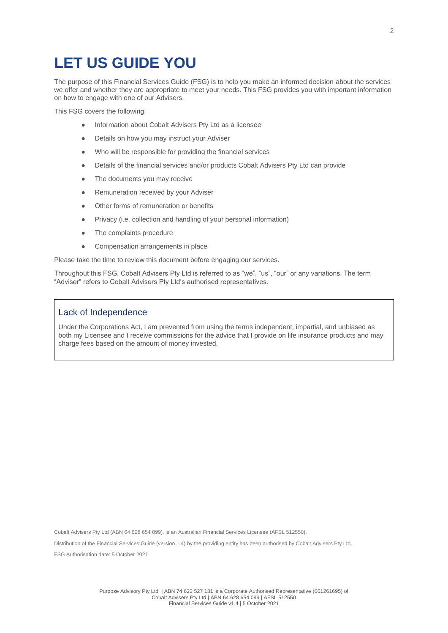### **LET US GUIDE YOU**

The purpose of this Financial Services Guide (FSG) is to help you make an informed decision about the services we offer and whether they are appropriate to meet your needs. This FSG provides you with important information on how to engage with one of our Advisers.

This FSG covers the following:

- Information about Cobalt Advisers Pty Ltd as a licensee
- Details on how you may instruct your Adviser
- Who will be responsible for providing the financial services
- Details of the financial services and/or products Cobalt Advisers Pty Ltd can provide
- The documents you may receive
- Remuneration received by your Adviser
- Other forms of remuneration or benefits
- Privacy (i.e. collection and handling of your personal information)
- The complaints procedure
- Compensation arrangements in place

Please take the time to review this document before engaging our services.

Throughout this FSG, Cobalt Advisers Pty Ltd is referred to as "we", "us", "our" or any variations. The term "Adviser" refers to Cobalt Advisers Pty Ltd's authorised representatives.

#### Lack of Independence

Under the Corporations Act, I am prevented from using the terms independent, impartial, and unbiased as both my Licensee and I receive commissions for the advice that I provide on life insurance products and may charge fees based on the amount of money invested.

Cobalt Advisers Pty Ltd (ABN 64 628 654 099), is an Australian Financial Services Licensee (AFSL 512550).

Distribution of the Financial Services Guide (version 1.4) by the providing entity has been authorised by Cobalt Advisers Pty Ltd.

FSG Authorisation date: 5 October 2021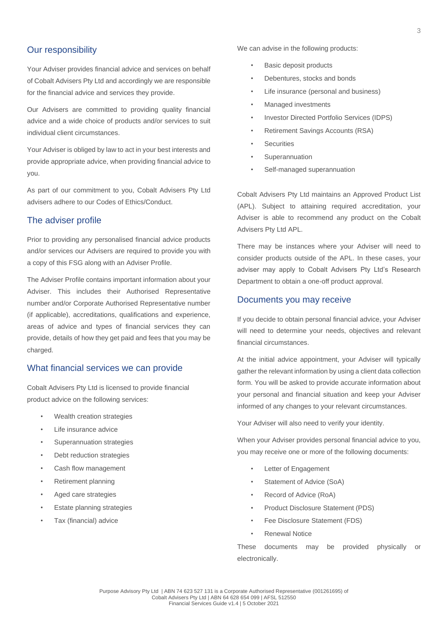#### Our responsibility

Your Adviser provides financial advice and services on behalf of Cobalt Advisers Pty Ltd and accordingly we are responsible for the financial advice and services they provide.

Our Advisers are committed to providing quality financial advice and a wide choice of products and/or services to suit individual client circumstances.

Your Adviser is obliged by law to act in your best interests and provide appropriate advice, when providing financial advice to you.

As part of our commitment to you, Cobalt Advisers Pty Ltd advisers adhere to our Codes of Ethics/Conduct.

#### The adviser profile

Prior to providing any personalised financial advice products and/or services our Advisers are required to provide you with a copy of this FSG along with an Adviser Profile.

The Adviser Profile contains important information about your Adviser. This includes their Authorised Representative number and/or Corporate Authorised Representative number (if applicable), accreditations, qualifications and experience, areas of advice and types of financial services they can provide, details of how they get paid and fees that you may be charged.

#### What financial services we can provide

Cobalt Advisers Pty Ltd is licensed to provide financial product advice on the following services:

- Wealth creation strategies
- Life insurance advice
- Superannuation strategies
- Debt reduction strategies
- Cash flow management
- Retirement planning
- Aged care strategies
- **Estate planning strategies**
- Tax (financial) advice

We can advise in the following products:

- Basic deposit products
- Debentures, stocks and bonds
- Life insurance (personal and business)
- Managed investments
- Investor Directed Portfolio Services (IDPS)
- Retirement Savings Accounts (RSA)
- **Securities**
- **Superannuation**
- Self-managed superannuation

Cobalt Advisers Pty Ltd maintains an Approved Product List (APL). Subject to attaining required accreditation, your Adviser is able to recommend any product on the Cobalt Advisers Pty Ltd APL.

There may be instances where your Adviser will need to consider products outside of the APL. In these cases, your adviser may apply to Cobalt Advisers Pty Ltd's Research Department to obtain a one-off product approval.

#### Documents you may receive

If you decide to obtain personal financial advice, your Adviser will need to determine your needs, objectives and relevant financial circumstances.

At the initial advice appointment, your Adviser will typically gather the relevant information by using a client data collection form. You will be asked to provide accurate information about your personal and financial situation and keep your Adviser informed of any changes to your relevant circumstances.

Your Adviser will also need to verify your identity.

When your Adviser provides personal financial advice to you, you may receive one or more of the following documents:

- Letter of Engagement
- Statement of Advice (SoA)
- Record of Advice (RoA)
- Product Disclosure Statement (PDS)
- Fee Disclosure Statement (FDS)
- **Renewal Notice**

These documents may be provided physically or electronically.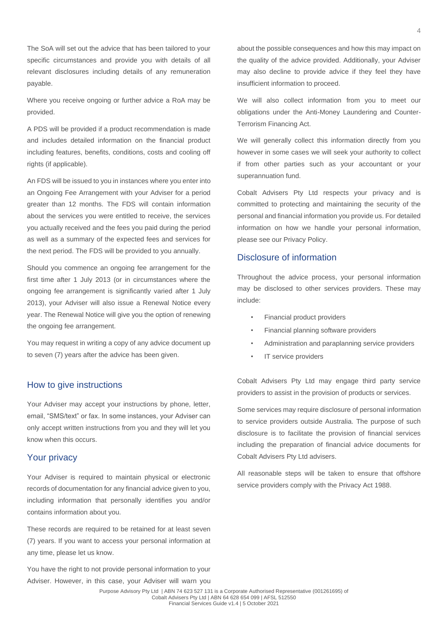The SoA will set out the advice that has been tailored to your specific circumstances and provide you with details of all relevant disclosures including details of any remuneration payable.

Where you receive ongoing or further advice a RoA may be provided.

A PDS will be provided if a product recommendation is made and includes detailed information on the financial product including features, benefits, conditions, costs and cooling off rights (if applicable).

An FDS will be issued to you in instances where you enter into an Ongoing Fee Arrangement with your Adviser for a period greater than 12 months. The FDS will contain information about the services you were entitled to receive, the services you actually received and the fees you paid during the period as well as a summary of the expected fees and services for the next period. The FDS will be provided to you annually.

Should you commence an ongoing fee arrangement for the first time after 1 July 2013 (or in circumstances where the ongoing fee arrangement is significantly varied after 1 July 2013), your Adviser will also issue a Renewal Notice every year. The Renewal Notice will give you the option of renewing the ongoing fee arrangement.

You may request in writing a copy of any advice document up to seven (7) years after the advice has been given.

#### How to give instructions

Your Adviser may accept your instructions by phone, letter, email, "SMS/text" or fax. In some instances, your Adviser can only accept written instructions from you and they will let you know when this occurs.

#### Your privacy

Your Adviser is required to maintain physical or electronic records of documentation for any financial advice given to you, including information that personally identifies you and/or contains information about you.

These records are required to be retained for at least seven (7) years. If you want to access your personal information at any time, please let us know.

You have the right to not provide personal information to your Adviser. However, in this case, your Adviser will warn you about the possible consequences and how this may impact on the quality of the advice provided. Additionally, your Adviser may also decline to provide advice if they feel they have insufficient information to proceed.

We will also collect information from you to meet our obligations under the Anti-Money Laundering and Counter-Terrorism Financing Act.

We will generally collect this information directly from you however in some cases we will seek your authority to collect if from other parties such as your accountant or your superannuation fund.

Cobalt Advisers Pty Ltd respects your privacy and is committed to protecting and maintaining the security of the personal and financial information you provide us. For detailed information on how we handle your personal information, please see our Privacy Policy.

#### Disclosure of information

Throughout the advice process, your personal information may be disclosed to other services providers. These may include:

- Financial product providers
- Financial planning software providers
- Administration and paraplanning service providers
- IT service providers

Cobalt Advisers Pty Ltd may engage third party service providers to assist in the provision of products or services.

Some services may require disclosure of personal information to service providers outside Australia. The purpose of such disclosure is to facilitate the provision of financial services including the preparation of financial advice documents for Cobalt Advisers Pty Ltd advisers.

All reasonable steps will be taken to ensure that offshore service providers comply with the Privacy Act 1988.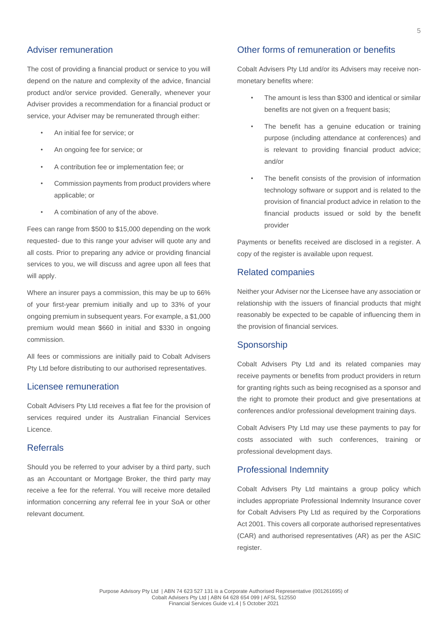#### Adviser remuneration

The cost of providing a financial product or service to you will depend on the nature and complexity of the advice, financial product and/or service provided. Generally, whenever your Adviser provides a recommendation for a financial product or service, your Adviser may be remunerated through either:

- An initial fee for service; or
- An ongoing fee for service; or
- A contribution fee or implementation fee; or
- Commission payments from product providers where applicable; or
- A combination of any of the above.

Fees can range from \$500 to \$15,000 depending on the work requested- due to this range your adviser will quote any and all costs. Prior to preparing any advice or providing financial services to you, we will discuss and agree upon all fees that will apply.

Where an insurer pays a commission, this may be up to 66% of your first-year premium initially and up to 33% of your ongoing premium in subsequent years. For example, a \$1,000 premium would mean \$660 in initial and \$330 in ongoing commission.

All fees or commissions are initially paid to Cobalt Advisers Pty Ltd before distributing to our authorised representatives.

#### Licensee remuneration

Cobalt Advisers Pty Ltd receives a flat fee for the provision of services required under its Australian Financial Services Licence.

#### Referrals

Should you be referred to your adviser by a third party, such as an Accountant or Mortgage Broker, the third party may receive a fee for the referral. You will receive more detailed information concerning any referral fee in your SoA or other relevant document.

#### Other forms of remuneration or benefits

Cobalt Advisers Pty Ltd and/or its Advisers may receive nonmonetary benefits where:

- The amount is less than \$300 and identical or similar benefits are not given on a frequent basis;
- The benefit has a genuine education or training purpose (including attendance at conferences) and is relevant to providing financial product advice; and/or
- The benefit consists of the provision of information technology software or support and is related to the provision of financial product advice in relation to the financial products issued or sold by the benefit provider

Payments or benefits received are disclosed in a register. A copy of the register is available upon request.

#### Related companies

Neither your Adviser nor the Licensee have any association or relationship with the issuers of financial products that might reasonably be expected to be capable of influencing them in the provision of financial services.

#### **Sponsorship**

Cobalt Advisers Pty Ltd and its related companies may receive payments or benefits from product providers in return for granting rights such as being recognised as a sponsor and the right to promote their product and give presentations at conferences and/or professional development training days.

Cobalt Advisers Pty Ltd may use these payments to pay for costs associated with such conferences, training or professional development days.

#### Professional Indemnity

Cobalt Advisers Pty Ltd maintains a group policy which includes appropriate Professional Indemnity Insurance cover for Cobalt Advisers Pty Ltd as required by the Corporations Act 2001. This covers all corporate authorised representatives (CAR) and authorised representatives (AR) as per the ASIC register.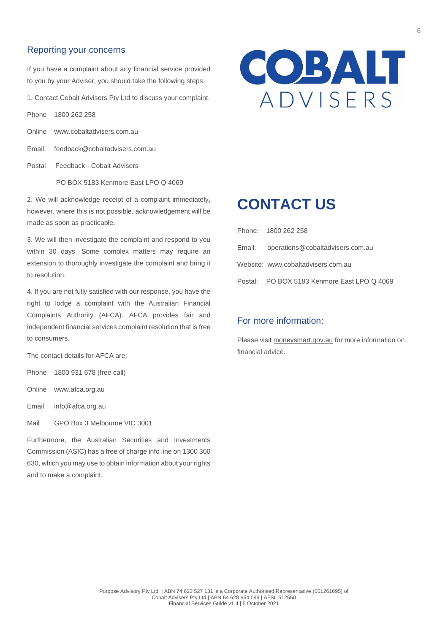#### Reporting your concerns

If you have a complaint about any financial service provided to you by your Adviser, you should take the following steps:

1. Contact Cobalt Advisers Pty Ltd to discuss your complaint.

Phone 1800 262 258

- Online www.cobaltadvisers.com.au
- Email feedback@cobaltadvisers.com.au

Postal Feedback - Cobalt Advisers

PO BOX 5183 Kenmore East LPO Q 4069

2. We will acknowledge receipt of a complaint immediately, however, where this is not possible, acknowledgement will be made as soon as practicable.

3. We will then investigate the complaint and respond to you within 30 days. Some complex matters may require an extension to thoroughly investigate the complaint and bring it to resolution.

4. If you are not fully satisfied with our response, you have the right to lodge a complaint with the Australian Financial Complaints Authority (AFCA). AFCA provides fair and independent financial services complaint resolution that is free to consumers.

The contact details for AFCA are:

Phone 1800 931 678 (free call)

Online www.afca.org.au

Email info@afca.org.au

Mail GPO Box 3 Melbourne VIC 3001

Furthermore, the Australian Securities and Investments Commission (ASIC) has a free of charge info line on 1300 300 630, which you may use to obtain information about your rights and to make a complaint.



### **CONTACT US**

| Phone: 1800 262 258                         |
|---------------------------------------------|
| Email: operations@cobaltadvisers.com.au     |
| Website: www.cobaltadvisers.com.au          |
| Postal: PO BOX 5183 Kenmore East LPO Q 4069 |

#### For more information:

Please visit moneysmart.gov.au for more information on financial advice.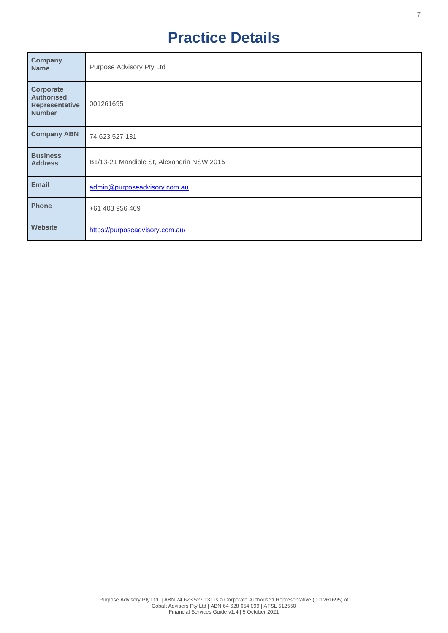### **Practice Details**

| Company<br><b>Name</b>                                                   | Purpose Advisory Pty Ltd                  |
|--------------------------------------------------------------------------|-------------------------------------------|
| Corporate<br><b>Authorised</b><br><b>Representative</b><br><b>Number</b> | 001261695                                 |
| <b>Company ABN</b>                                                       | 74 623 527 131                            |
| <b>Business</b><br><b>Address</b>                                        | B1/13-21 Mandible St, Alexandria NSW 2015 |
| <b>Email</b>                                                             | admin@purposeadvisory.com.au              |
| <b>Phone</b>                                                             | +61 403 956 469                           |
| Website                                                                  | https://purposeadvisory.com.au/           |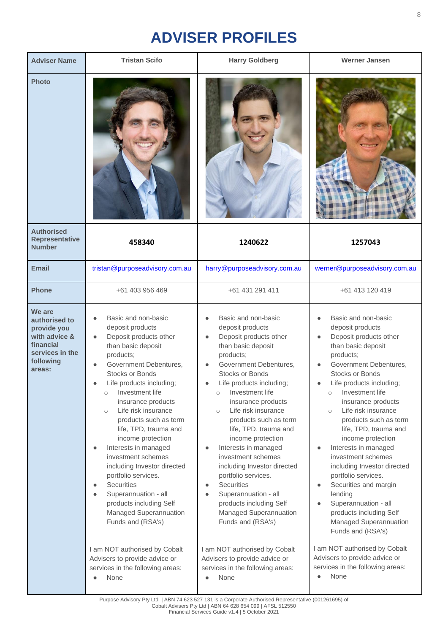## **ADVISER PROFILES**

| <b>Adviser Name</b>                                                                                            | <b>Tristan Scifo</b>                                                                                                                                                                                                                                                                                                                                                                                                                                                                                                                                                               | <b>Harry Goldberg</b>                                                                                                                                                                                                                                                                                                                                                                                                                                                                                                                                                        | <b>Werner Jansen</b>                                                                                                                                                                                                                                                                                                                                                                                                                                                                                                                                                                                                               |
|----------------------------------------------------------------------------------------------------------------|------------------------------------------------------------------------------------------------------------------------------------------------------------------------------------------------------------------------------------------------------------------------------------------------------------------------------------------------------------------------------------------------------------------------------------------------------------------------------------------------------------------------------------------------------------------------------------|------------------------------------------------------------------------------------------------------------------------------------------------------------------------------------------------------------------------------------------------------------------------------------------------------------------------------------------------------------------------------------------------------------------------------------------------------------------------------------------------------------------------------------------------------------------------------|------------------------------------------------------------------------------------------------------------------------------------------------------------------------------------------------------------------------------------------------------------------------------------------------------------------------------------------------------------------------------------------------------------------------------------------------------------------------------------------------------------------------------------------------------------------------------------------------------------------------------------|
| <b>Photo</b>                                                                                                   |                                                                                                                                                                                                                                                                                                                                                                                                                                                                                                                                                                                    |                                                                                                                                                                                                                                                                                                                                                                                                                                                                                                                                                                              |                                                                                                                                                                                                                                                                                                                                                                                                                                                                                                                                                                                                                                    |
| <b>Authorised</b><br><b>Representative</b><br><b>Number</b>                                                    | 458340                                                                                                                                                                                                                                                                                                                                                                                                                                                                                                                                                                             | 1240622                                                                                                                                                                                                                                                                                                                                                                                                                                                                                                                                                                      | 1257043                                                                                                                                                                                                                                                                                                                                                                                                                                                                                                                                                                                                                            |
| <b>Email</b>                                                                                                   | tristan@purposeadvisory.com.au                                                                                                                                                                                                                                                                                                                                                                                                                                                                                                                                                     | harry@purposeadvisory.com.au                                                                                                                                                                                                                                                                                                                                                                                                                                                                                                                                                 | werner@purposeadvisory.com.au                                                                                                                                                                                                                                                                                                                                                                                                                                                                                                                                                                                                      |
| <b>Phone</b>                                                                                                   | +61 403 956 469                                                                                                                                                                                                                                                                                                                                                                                                                                                                                                                                                                    | +61 431 291 411                                                                                                                                                                                                                                                                                                                                                                                                                                                                                                                                                              | +61 413 120 419                                                                                                                                                                                                                                                                                                                                                                                                                                                                                                                                                                                                                    |
| We are<br>authorised to<br>provide you<br>with advice &<br>financial<br>services in the<br>following<br>areas: | Basic and non-basic<br>deposit products<br>Deposit products other<br>$\bullet$<br>than basic deposit<br>products;<br>Government Debentures,<br><b>Stocks or Bonds</b><br>Life products including;<br>Investment life<br>$\circ$<br>insurance products<br>Life risk insurance<br>$\circ$<br>products such as term<br>life, TPD, trauma and<br>income protection<br>Interests in managed<br>investment schemes<br>including Investor directed<br>portfolio services.<br>Securities<br>Superannuation - all<br>products including Self<br>Managed Superannuation<br>Funds and (RSA's) | Basic and non-basic<br>deposit products<br>Deposit products other<br>than basic deposit<br>products;<br>Government Debentures,<br><b>Stocks or Bonds</b><br>Life products including;<br>Investment life<br>$\circ$<br>insurance products<br>Life risk insurance<br>$\circ$<br>products such as term<br>life, TPD, trauma and<br>income protection<br>Interests in managed<br>investment schemes<br>including Investor directed<br>portfolio services.<br><b>Securities</b><br>Superannuation - all<br>products including Self<br>Managed Superannuation<br>Funds and (RSA's) | Basic and non-basic<br>deposit products<br>Deposit products other<br>than basic deposit<br>products;<br>Government Debentures,<br><b>Stocks or Bonds</b><br>Life products including;<br>Investment life<br>$\circ$<br>insurance products<br>Life risk insurance<br>$\circ$<br>products such as term<br>life, TPD, trauma and<br>income protection<br>Interests in managed<br>$\bullet$<br>investment schemes<br>including Investor directed<br>portfolio services.<br>Securities and margin<br>$\bullet$<br>lending<br>Superannuation - all<br>$\bullet$<br>products including Self<br>Managed Superannuation<br>Funds and (RSA's) |
|                                                                                                                | I am NOT authorised by Cobalt<br>Advisers to provide advice or<br>services in the following areas:<br>None                                                                                                                                                                                                                                                                                                                                                                                                                                                                         | I am NOT authorised by Cobalt<br>Advisers to provide advice or<br>services in the following areas:<br>None                                                                                                                                                                                                                                                                                                                                                                                                                                                                   | I am NOT authorised by Cobalt<br>Advisers to provide advice or<br>services in the following areas:<br>None                                                                                                                                                                                                                                                                                                                                                                                                                                                                                                                         |